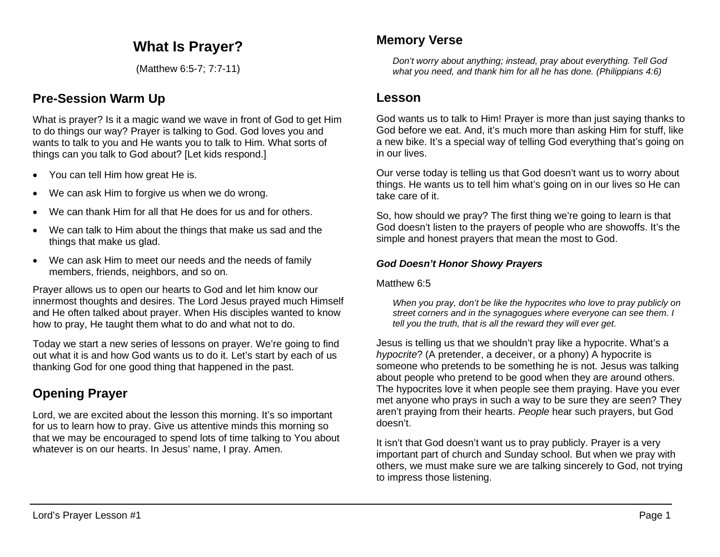# **What Is Prayer?**

(Matthew 6:5-7; 7:7-11)

## **Pre-Session Warm Up**

What is prayer? Is it a magic wand we wave in front of God to get Him to do things our way? Prayer is talking to God. God loves you and wants to talk to you and He wants you to talk to Him. What sorts of things can you talk to God about? [Let kids respond.]

- You can tell Him how great He is.
- We can ask Him to forgive us when we do wrong.
- We can thank Him for all that He does for us and for others.
- We can talk to Him about the things that make us sad and the things that make us glad.
- We can ask Him to meet our needs and the needs of family members, friends, neighbors, and so on.

Prayer allows us to open our hearts to God and let him know our innermost thoughts and desires. The Lord Jesus prayed much Himself and He often talked about prayer. When His disciples wanted to know how to pray, He taught them what to do and what not to do.

Today we start a new series of lessons on prayer. We're going to find out what it is and how God wants us to do it. Let's start by each of us thanking God for one good thing that happened in the past.

# **Opening Prayer**

Lord, we are excited about the lesson this morning. It's so important for us to learn how to pray. Give us attentive minds this morning so that we may be encouraged to spend lots of time talking to You about whatever is on our hearts. In Jesus' name, I pray. Amen.

## **Memory Verse**

*Don't worry about anything; instead, pray about everything. Tell God what you need, and thank him for all he has done. (Philippians 4:6)*

## **Lesson**

God wants us to talk to Him! Prayer is more than just saying thanks to God before we eat. And, it's much more than asking Him for stuff, like a new bike. It's a special way of telling God everything that's going on in our lives.

Our verse today is telling us that God doesn't want us to worry about things. He wants us to tell him what's going on in our lives so He can take care of it.

So, how should we pray? The first thing we're going to learn is that God doesn't listen to the prayers of people who are showoffs. It's the simple and honest prayers that mean the most to God.

### *God Doesn't Honor Showy Prayers*

#### Matthew 6:5

*When you pray, don't be like the hypocrites who love to pray publicly on street corners and in the synagogues where everyone can see them. I tell you the truth, that is all the reward they will ever get.*

Jesus is telling us that we shouldn't pray like a hypocrite. What's a *hypocrite*? (A pretender, a deceiver, or a phony) A hypocrite is someone who pretends to be something he is not. Jesus was talking about people who pretend to be good when they are around others. The hypocrites love it when people see them praying. Have you ever met anyone who prays in such a way to be sure they are seen? They aren't praying from their hearts. *People* hear such prayers, but God doesn't.

It isn't that God doesn't want us to pray publicly. Prayer is a very important part of church and Sunday school. But when we pray with others, we must make sure we are talking sincerely to God, not trying to impress those listening.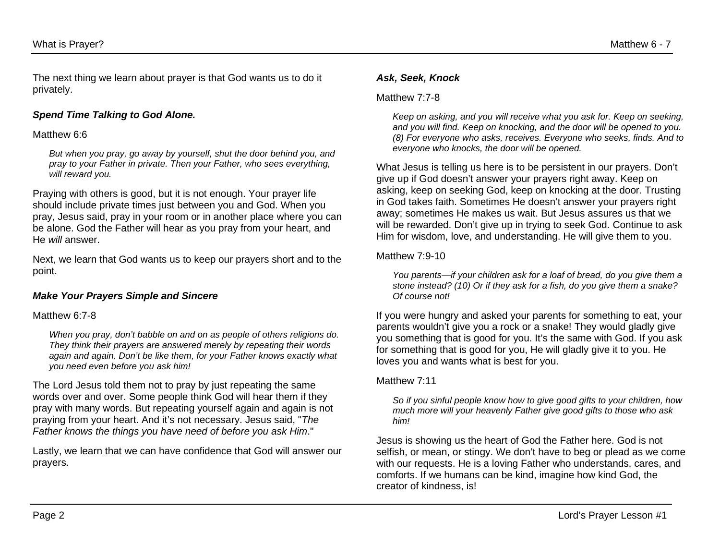The next thing we learn about prayer is that God wants us to do it privately.

#### *Spend Time Talking to God Alone.*

#### Matthew 6:6

*But when you pray, go away by yourself, shut the door behind you, and pray to your Father in private. Then your Father, who sees everything, will reward you.*

Praying with others is good, but it is not enough. Your prayer life should include private times just between you and God. When you pray, Jesus said, pray in your room or in another place where you can be alone. God the Father will hear as you pray from your heart, and He *will* answer.

Next, we learn that God wants us to keep our prayers short and to the point.

#### *Make Your Prayers Simple and Sincere*

#### Matthew 6:7-8

*When you pray, don't babble on and on as people of others religions do. They think their prayers are answered merely by repeating their words again and again. Don't be like them, for your Father knows exactly what you need even before you ask him!*

The Lord Jesus told them not to pray by just repeating the same words over and over. Some people think God will hear them if they pray with many words. But repeating yourself again and again is not praying from your heart. And it's not necessary. Jesus said, "*The Father knows the things you have need of before you ask Him*."

Lastly, we learn that we can have confidence that God will answer our prayers.

#### *Ask, Seek, Knock*

#### Matthew 7.7-8

*Keep on asking, and you will receive what you ask for. Keep on seeking, and you will find. Keep on knocking, and the door will be opened to you. (8) For everyone who asks, receives. Everyone who seeks, finds. And to everyone who knocks, the door will be opened.*

What Jesus is telling us here is to be persistent in our prayers. Don't give up if God doesn't answer your prayers right away. Keep on asking, keep on seeking God, keep on knocking at the door. Trusting in God takes faith. Sometimes He doesn't answer your prayers right away; sometimes He makes us wait. But Jesus assures us that we will be rewarded. Don't give up in trying to seek God. Continue to ask Him for wisdom, love, and understanding. He will give them to you.

#### Matthew 7:9-10

*You parents—if your children ask for a loaf of bread, do you give them a stone instead? (10) Or if they ask for a fish, do you give them a snake? Of course not!*

If you were hungry and asked your parents for something to eat, your parents wouldn't give you a rock or a snake! They would gladly give you something that is good for you. It's the same with God. If you ask for something that is good for you, He will gladly give it to you. He loves you and wants what is best for you.

#### Matthew 7:11

*So if you sinful people know how to give good gifts to your children, how much more will your heavenly Father give good gifts to those who ask him!*

Jesus is showing us the heart of God the Father here. God is not selfish, or mean, or stingy. We don't have to beg or plead as we come with our requests. He is a loving Father who understands, cares, and comforts. If we humans can be kind, imagine how kind God, the creator of kindness, is!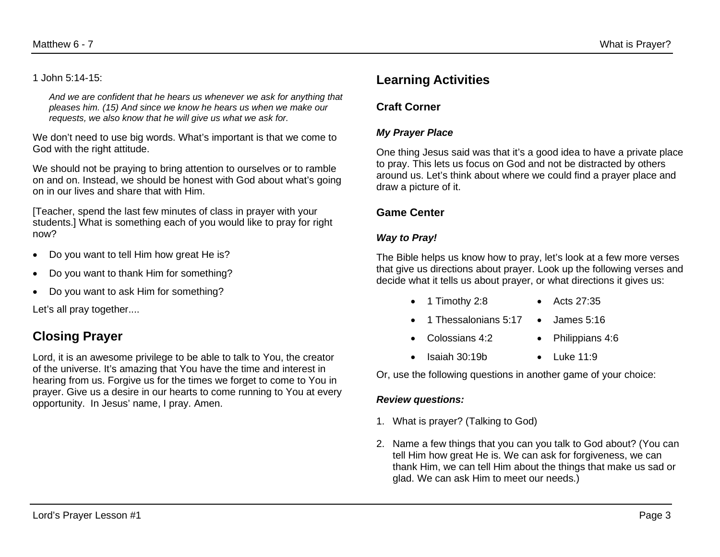*And we are confident that he hears us whenever we ask for anything that pleases him. (15) And since we know he hears us when we make our requests, we also know that he will give us what we ask for.*

We don't need to use big words. What's important is that we come to God with the right attitude.

We should not be praying to bring attention to ourselves or to ramble on and on. Instead, we should be honest with God about what's going on in our lives and share that with Him.

[Teacher, spend the last few minutes of class in prayer with your students.] What is something each of you would like to pray for right now?

- Do you want to tell Him how great He is?
- Do you want to thank Him for something?
- Do you want to ask Him for something?

Let's all pray together....

# **Closing Prayer**

Lord, it is an awesome privilege to be able to talk to You, the creator of the universe. It's amazing that You have the time and interest in hearing from us. Forgive us for the times we forget to come to You in prayer. Give us a desire in our hearts to come running to You at every opportunity. In Jesus' name, I pray. Amen.

## **Learning Activities**

## **Craft Corner**

### *My Prayer Place*

One thing Jesus said was that it's a good idea to have a private place to pray. This lets us focus on God and not be distracted by others around us. Let's think about where we could find a prayer place and draw a picture of it.

## **Game Center**

### *Way to Pray!*

The Bible helps us know how to pray, let's look at a few more verses that give us directions about prayer. Look up the following verses and decide what it tells us about prayer, or what directions it gives us:

- 1 Timothy 2:8 Acts 27:35
- 1 Thessalonians 5:17 James 5:16
- Colossians 4:2 Philippians 4:6
- Isaiah 30:19b Luke 11:9

Or, use the following questions in another game of your choice:

### *Review questions:*

- 1. What is prayer? (Talking to God)
- 2. Name a few things that you can you talk to God about? (You can tell Him how great He is. We can ask for forgiveness, we can thank Him, we can tell Him about the things that make us sad or glad. We can ask Him to meet our needs.)